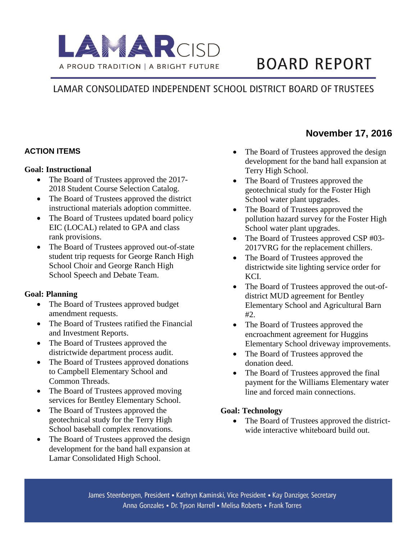

# **BOARD REPORT**

## LAMAR CONSOLIDATED INDEPENDENT SCHOOL DISTRICT BOARD OF TRUSTEES

#### **ACTION ITEMS**

#### **Goal: Instructional**

- The Board of Trustees approved the 2017-2018 Student Course Selection Catalog.
- The Board of Trustees approved the district instructional materials adoption committee.
- The Board of Trustees updated board policy EIC (LOCAL) related to GPA and class rank provisions.
- The Board of Trustees approved out-of-state student trip requests for George Ranch High School Choir and George Ranch High School Speech and Debate Team.

#### **Goal: Planning**

- The Board of Trustees approved budget amendment requests.
- The Board of Trustees ratified the Financial and Investment Reports.
- The Board of Trustees approved the districtwide department process audit.
- The Board of Trustees approved donations to Campbell Elementary School and Common Threads.
- The Board of Trustees approved moving services for Bentley Elementary School.
- The Board of Trustees approved the geotechnical study for the Terry High School baseball complex renovations.
- The Board of Trustees approved the design development for the band hall expansion at Lamar Consolidated High School.

#### • The Board of Trustees approved the design development for the band hall expansion at Terry High School.

- The Board of Trustees approved the geotechnical study for the Foster High School water plant upgrades.
- The Board of Trustees approved the pollution hazard survey for the Foster High School water plant upgrades.
- The Board of Trustees approved CSP #03-2017VRG for the replacement chillers.
- The Board of Trustees approved the districtwide site lighting service order for KCI.
- The Board of Trustees approved the out-ofdistrict MUD agreement for Bentley Elementary School and Agricultural Barn #2.
- The Board of Trustees approved the encroachment agreement for Huggins Elementary School driveway improvements.
- The Board of Trustees approved the donation deed.
- The Board of Trustees approved the final payment for the Williams Elementary water line and forced main connections.

#### **Goal: Technology**

• The Board of Trustees approved the districtwide interactive whiteboard build out.

### **November 17, 2016**